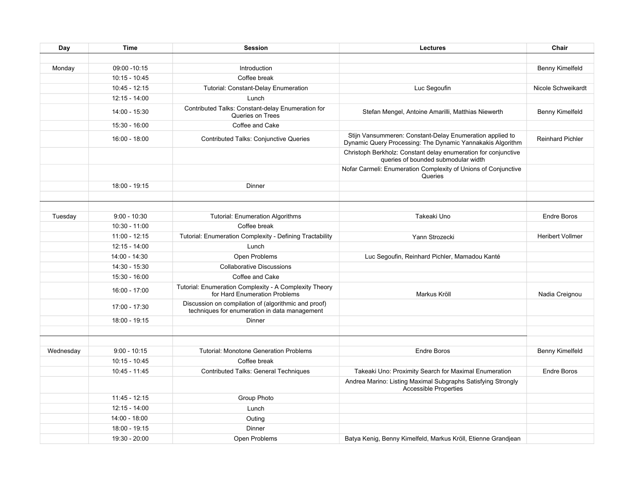| Day       | <b>Time</b>     | <b>Session</b>                                                                                        | <b>Lectures</b>                                                                                                        | Chair                   |
|-----------|-----------------|-------------------------------------------------------------------------------------------------------|------------------------------------------------------------------------------------------------------------------------|-------------------------|
|           |                 |                                                                                                       |                                                                                                                        |                         |
| Monday    | 09:00 -10:15    | Introduction                                                                                          |                                                                                                                        | Benny Kimelfeld         |
|           | $10:15 - 10:45$ | Coffee break                                                                                          |                                                                                                                        |                         |
|           | $10:45 - 12:15$ | <b>Tutorial: Constant-Delay Enumeration</b>                                                           | Luc Segoufin                                                                                                           | Nicole Schweikardt      |
|           | 12:15 - 14:00   | Lunch                                                                                                 |                                                                                                                        |                         |
|           | 14:00 - 15:30   | Contributed Talks: Constant-delay Enumeration for<br>Queries on Trees                                 | Stefan Mengel, Antoine Amarilli, Matthias Niewerth                                                                     | Benny Kimelfeld         |
|           | 15:30 - 16:00   | Coffee and Cake                                                                                       |                                                                                                                        |                         |
|           | 16:00 - 18:00   | <b>Contributed Talks: Conjunctive Queries</b>                                                         | Stijn Vansummeren: Constant-Delay Enumeration applied to<br>Dynamic Query Processing: The Dynamic Yannakakis Algorithm | <b>Reinhard Pichler</b> |
|           |                 |                                                                                                       | Christoph Berkholz: Constant delay enumeration for conjunctive<br>queries of bounded submodular width                  |                         |
|           |                 |                                                                                                       | Nofar Carmeli: Enumeration Complexity of Unions of Conjunctive<br>Queries                                              |                         |
|           | 18:00 - 19:15   | Dinner                                                                                                |                                                                                                                        |                         |
|           |                 |                                                                                                       |                                                                                                                        |                         |
|           |                 |                                                                                                       |                                                                                                                        |                         |
| Tuesday   | $9:00 - 10:30$  | <b>Tutorial: Enumeration Algorithms</b>                                                               | Takeaki Uno                                                                                                            | <b>Endre Boros</b>      |
|           | 10:30 - 11:00   | Coffee break                                                                                          |                                                                                                                        |                         |
|           | 11:00 - 12:15   | Tutorial: Enumeration Complexity - Defining Tractability                                              | Yann Strozecki                                                                                                         | <b>Heribert Vollmer</b> |
|           | 12:15 - 14:00   | Lunch                                                                                                 |                                                                                                                        |                         |
|           | 14:00 - 14:30   | Open Problems                                                                                         | Luc Segoufin, Reinhard Pichler, Mamadou Kanté                                                                          |                         |
|           | 14:30 - 15:30   | <b>Collaborative Discussions</b>                                                                      |                                                                                                                        |                         |
|           | 15:30 - 16:00   | Coffee and Cake                                                                                       |                                                                                                                        |                         |
|           | 16:00 - 17:00   | Tutorial: Enumeration Complexity - A Complexity Theory<br>for Hard Enumeration Problems               | Markus Kröll                                                                                                           | Nadia Creignou          |
|           | 17:00 - 17:30   | Discussion on compilation of (algorithmic and proof)<br>techniques for enumeration in data management |                                                                                                                        |                         |
|           | 18:00 - 19:15   | Dinner                                                                                                |                                                                                                                        |                         |
|           |                 |                                                                                                       |                                                                                                                        |                         |
|           |                 |                                                                                                       |                                                                                                                        |                         |
| Wednesday | $9:00 - 10:15$  | <b>Tutorial: Monotone Generation Problems</b>                                                         | <b>Endre Boros</b>                                                                                                     | Benny Kimelfeld         |
|           | 10:15 - 10:45   | Coffee break                                                                                          |                                                                                                                        |                         |
|           | 10:45 - 11:45   | Contributed Talks: General Techniques                                                                 | Takeaki Uno: Proximity Search for Maximal Enumeration                                                                  | <b>Endre Boros</b>      |
|           |                 |                                                                                                       | Andrea Marino: Listing Maximal Subgraphs Satisfying Strongly<br>Accessible Properties                                  |                         |
|           | $11:45 - 12:15$ | Group Photo                                                                                           |                                                                                                                        |                         |
|           | 12:15 - 14:00   | Lunch                                                                                                 |                                                                                                                        |                         |
|           | 14:00 - 18:00   | Outing                                                                                                |                                                                                                                        |                         |
|           | 18:00 - 19:15   | Dinner                                                                                                |                                                                                                                        |                         |
|           | 19:30 - 20:00   | Open Problems                                                                                         | Batya Kenig, Benny Kimelfeld, Markus Kröll, Etienne Grandjean                                                          |                         |